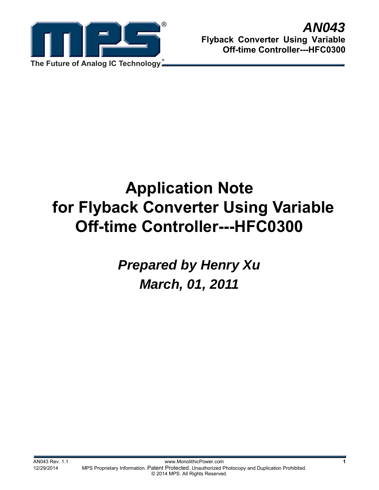

# **Application Note for Flyback Converter Using Variable Off-time Controller---HFC0300**

*Prepared by Henry Xu March, 01, 2011*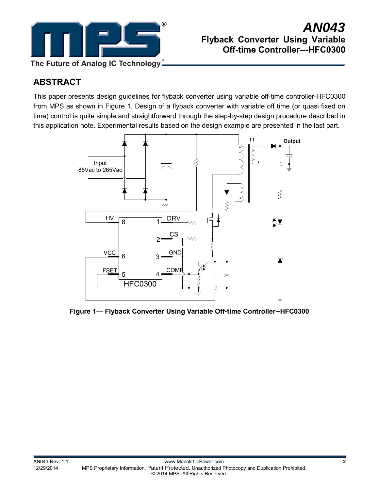

# *AN043* **Flyback Converter Using Variable Off-time Controller---HFC0300**

# **ABSTRACT**

This paper presents design guidelines for flyback converter using variable off-time controller-HFC0300 from MPS as shown in Figure 1. Design of a flyback converter with variable off time (or quasi fixed on time) control is quite simple and straightforward through the step-by-step design procedure described in this application note. Experimental results based on the design example are presented in the last part.



**Figure 1― Flyback Converter Using Variable Off-time Controller--HFC0300**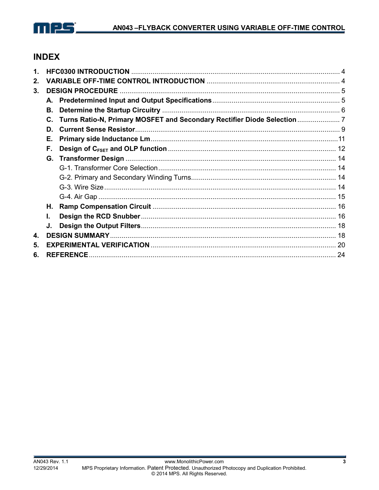

# **INDEX**

| 1. |                  |                                                                          |  |  |  |  |  |  |
|----|------------------|--------------------------------------------------------------------------|--|--|--|--|--|--|
| 2. |                  |                                                                          |  |  |  |  |  |  |
| 3. |                  |                                                                          |  |  |  |  |  |  |
|    | А.               |                                                                          |  |  |  |  |  |  |
|    | В.               |                                                                          |  |  |  |  |  |  |
|    | С.               | Turns Ratio-N, Primary MOSFET and Secondary Rectifier Diode Selection  7 |  |  |  |  |  |  |
|    | D.               |                                                                          |  |  |  |  |  |  |
|    | Е.               |                                                                          |  |  |  |  |  |  |
|    | F.               |                                                                          |  |  |  |  |  |  |
|    |                  |                                                                          |  |  |  |  |  |  |
|    |                  |                                                                          |  |  |  |  |  |  |
|    |                  |                                                                          |  |  |  |  |  |  |
|    |                  |                                                                          |  |  |  |  |  |  |
|    |                  |                                                                          |  |  |  |  |  |  |
|    | Н.               |                                                                          |  |  |  |  |  |  |
|    | L.               |                                                                          |  |  |  |  |  |  |
|    | J.               |                                                                          |  |  |  |  |  |  |
| 4. |                  |                                                                          |  |  |  |  |  |  |
| 5. |                  |                                                                          |  |  |  |  |  |  |
| 6. | <b>REFERENCE</b> |                                                                          |  |  |  |  |  |  |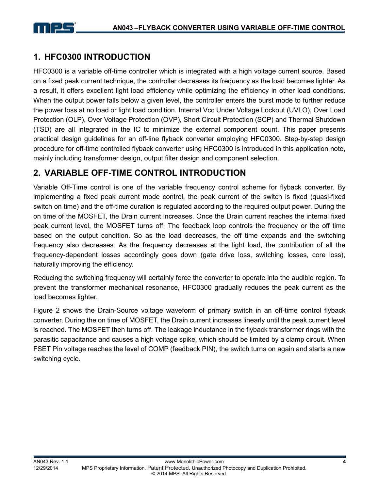# **1. HFC0300 INTRODUCTION**

HFC0300 is a variable off-time controller which is integrated with a high voltage current source. Based on a fixed peak current technique, the controller decreases its frequency as the load becomes lighter. As a result, it offers excellent light load efficiency while optimizing the efficiency in other load conditions. When the output power falls below a given level, the controller enters the burst mode to further reduce the power loss at no load or light load condition. Internal Vcc Under Voltage Lockout (UVLO), Over Load Protection (OLP), Over Voltage Protection (OVP), Short Circuit Protection (SCP) and Thermal Shutdown (TSD) are all integrated in the IC to minimize the external component count. This paper presents practical design guidelines for an off-line flyback converter employing HFC0300. Step-by-step design procedure for off-time controlled flyback converter using HFC0300 is introduced in this application note, mainly including transformer design, output filter design and component selection.

# **2. VARIABLE OFF-TIME CONTROL INTRODUCTION**

Variable Off-Time control is one of the variable frequency control scheme for flyback converter. By implementing a fixed peak current mode control, the peak current of the switch is fixed (quasi-fixed switch on time) and the off-time duration is regulated according to the required output power. During the on time of the MOSFET, the Drain current increases. Once the Drain current reaches the internal fixed peak current level, the MOSFET turns off. The feedback loop controls the frequency or the off time based on the output condition. So as the load decreases, the off time expands and the switching frequency also decreases. As the frequency decreases at the light load, the contribution of all the frequency-dependent losses accordingly goes down (gate drive loss, switching losses, core loss), naturally improving the efficiency.

Reducing the switching frequency will certainly force the converter to operate into the audible region. To prevent the transformer mechanical resonance, HFC0300 gradually reduces the peak current as the load becomes lighter.

Figure 2 shows the Drain-Source voltage waveform of primary switch in an off-time control flyback converter. During the on time of MOSFET, the Drain current increases linearly until the peak current level is reached. The MOSFET then turns off. The leakage inductance in the flyback transformer rings with the parasitic capacitance and causes a high voltage spike, which should be limited by a clamp circuit. When FSET Pin voltage reaches the level of COMP (feedback PIN), the switch turns on again and starts a new switching cycle.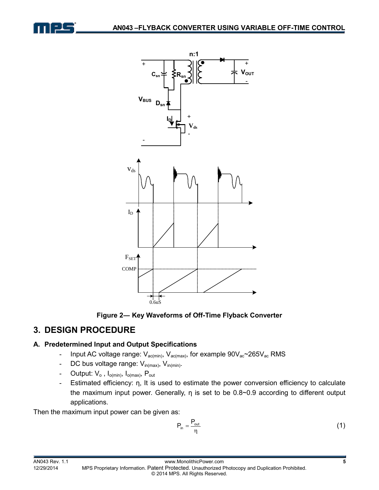





## **3. DESIGN PROCEDURE**

## **A. Predetermined Input and Output Specifications**

- Input AC voltage range: V<sub>ac(min)</sub>, V<sub>ac(max)</sub>, for example 90V<sub>ac</sub>~265V<sub>ac</sub> RMS
- DC bus voltage range: V<sub>in(max)</sub>, V<sub>in(min)</sub>.
- Output:  $V_o$ , I<sub>o(min)</sub>, I<sub>o(max)</sub>, P<sub>out</sub>
- **-** Estimated efficiency: η, It is used to estimate the power conversion efficiency to calculate the maximum input power. Generally, η is set to be 0.8~0.9 according to different output applications.

Then the maximum input power can be given as:

$$
P_{in} = \frac{P_{out}}{\eta}
$$
 (1)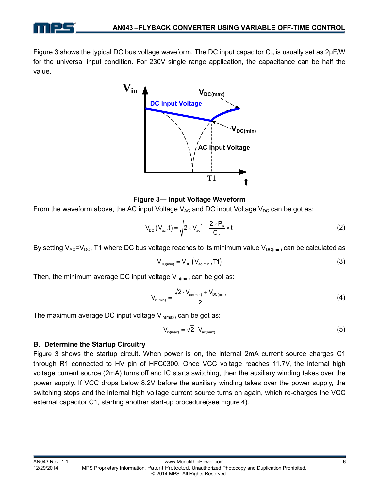

Figure 3 shows the typical DC bus voltage waveform. The DC input capacitor  $C_{\text{in}}$  is usually set as  $2\mu$ F/W for the universal input condition. For 230V single range application, the capacitance can be half the value.



**Figure 3― Input Voltage Waveform** 

From the waveform above, the AC input Voltage  $V_{AC}$  and DC input Voltage  $V_{DC}$  can be got as:

$$
V_{\rm DC}\left(V_{\rm ac},t\right) = \sqrt{2 \times V_{\rm ac}^2 - \frac{2 \times P_{\rm in}}{C_{\rm in}} \times t}
$$
 (2)

By setting  $V_{AC}=V_{DC}$ , T1 where DC bus voltage reaches to its minimum value  $V_{DC(min)}$  can be calculated as

$$
V_{DC(min)} = V_{DC} (V_{ac(min)}, T1)
$$
 (3)

Then, the minimum average DC input voltage  $V_{in(min)}$  can be got as:

$$
V_{in(min)} = \frac{\sqrt{2} \cdot V_{ac(min)} + V_{DC(min)}}{2} \tag{4}
$$

The maximum average DC input voltage  $V_{in(max)}$  can be got as:

$$
V_{in(max)} = \sqrt{2} \cdot V_{ac(max)}
$$
 (5)

#### **B. Determine the Startup Circuitry**

Figure 3 shows the startup circuit. When power is on, the internal 2mA current source charges C1 through R1 connected to HV pin of HFC0300. Once VCC voltage reaches 11.7V, the internal high voltage current source (2mA) turns off and IC starts switching, then the auxiliary winding takes over the power supply. If VCC drops below 8.2V before the auxiliary winding takes over the power supply, the switching stops and the internal high voltage current source turns on again, which re-charges the VCC external capacitor C1, starting another start-up procedure(see Figure 4).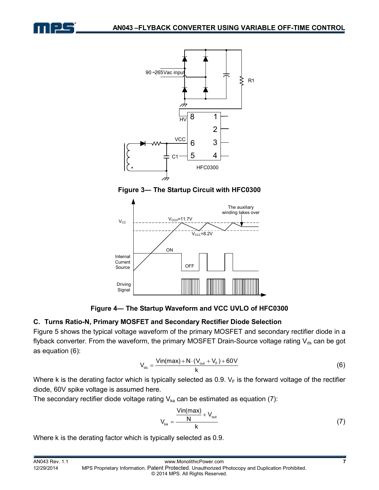







**Figure 4― The Startup Waveform and VCC UVLO of HFC0300** 

## **C. Turns Ratio-N, Primary MOSFET and Secondary Rectifier Diode Selection**

Figure 5 shows the typical voltage waveform of the primary MOSFET and secondary rectifier diode in a flyback converter. From the waveform, the primary MOSFET Drain-Source voltage rating  $V_{ds}$  can be got as equation (6):

$$
V_{ds} = \frac{Vin(max) + N \cdot (V_{out} + V_F) + 60V}{k}
$$
 (6)

Where k is the derating factor which is typically selected as 0.9.  $V_F$  is the forward voltage of the rectifier diode, 60V spike voltage is assumed here.

The secondary rectifier diode voltage rating  $V_{ka}$  can be estimated as equation (7):

$$
V_{ka} = \frac{\frac{Vin(max)}{N} + V_{out}}{k}
$$
 (7)

Where k is the derating factor which is typically selected as 0.9.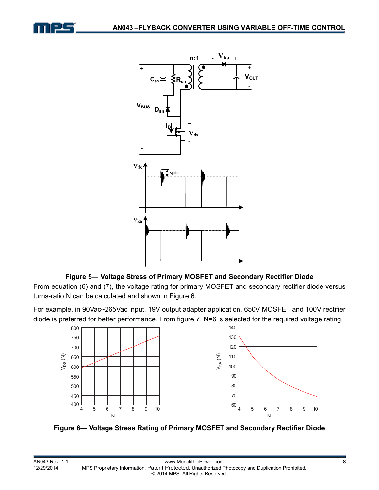



#### **Figure 5― Voltage Stress of Primary MOSFET and Secondary Rectifier Diode**

From equation (6) and (7), the voltage rating for primary MOSFET and secondary rectifier diode versus turns-ratio N can be calculated and shown in Figure 6.

For example, in 90Vac~265Vac input, 19V output adapter application, 650V MOSFET and 100V rectifier diode is preferred for better performance. From figure 7, N=6 is selected for the required voltage rating.



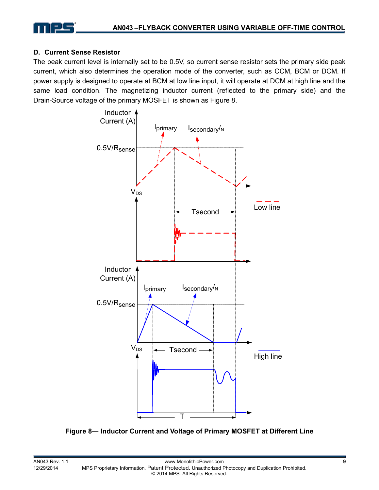#### **D. Current Sense Resistor**

The peak current level is internally set to be 0.5V, so current sense resistor sets the primary side peak current, which also determines the operation mode of the converter, such as CCM, BCM or DCM. If power supply is designed to operate at BCM at low line input, it will operate at DCM at high line and the same load condition. The magnetizing inductor current (reflected to the primary side) and the Drain-Source voltage of the primary MOSFET is shown as Figure 8.



**Figure 8― Inductor Current and Voltage of Primary MOSFET at Different Line**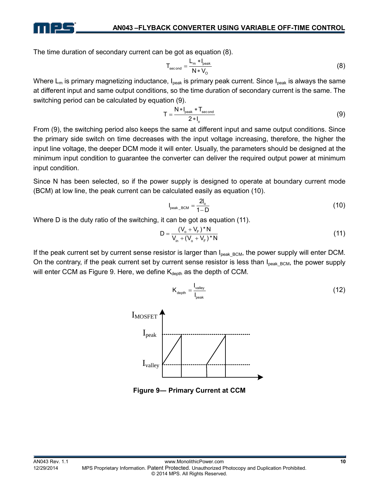

The time duration of secondary current can be got as equation (8).

$$
T_{\text{second}} = \frac{L_m * I_{\text{peak}}}{N * V_0}
$$
 (8)

Where  $L_m$  is primary magnetizing inductance,  $I_{peak}$  is primary peak current. Since  $I_{peak}$  is always the same at different input and same output conditions, so the time duration of secondary current is the same. The switching period can be calculated by equation (9).

$$
T = \frac{N * I_{\text{peak}} * T_{\text{second}}}{2 * I_{\text{o}}}
$$
 (9)

From (9), the switching period also keeps the same at different input and same output conditions. Since the primary side switch on time decreases with the input voltage increasing, therefore, the higher the input line voltage, the deeper DCM mode it will enter. Usually, the parameters should be designed at the minimum input condition to guarantee the converter can deliver the required output power at minimum input condition.

Since N has been selected, so if the power supply is designed to operate at boundary current mode (BCM) at low line, the peak current can be calculated easily as equation (10).

$$
I_{\text{peak\_BCM}} = \frac{2I_o}{1 - D} \tag{10}
$$

Where D is the duty ratio of the switching, it can be got as equation (11).

$$
D = \frac{(V_o + V_F)^* N}{V_{in} + (V_o + V_F)^* N}
$$
 (11)

 $\frac{1}{\frac{1}{\log n}}$  (12)

If the peak current set by current sense resistor is larger than I<sub>peak\_BCM</sub>, the power supply will enter DCM. On the contrary, if the peak current set by current sense resistor is less than  $I_{peak, BCM}$ , the power supply will enter CCM as Figure 9. Here, we define  $K_{\text{depth}}$  as the depth of CCM.

> $\frac{1}{\text{depth}} = \frac{1}{1}$ peak

 $K_{\text{denth}} = \frac{1}{2}$ 



**Figure 9― Primary Current at CCM**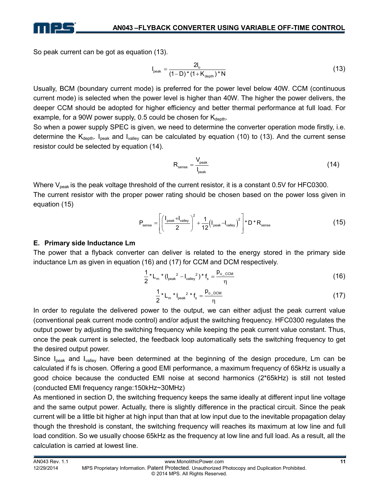

So peak current can be got as equation (13).

$$
I_{\text{peak}} = \frac{2I_o}{(1 - D)^*(1 + K_{\text{depth}})^* N}
$$
 (13)

Usually, BCM (boundary current mode) is preferred for the power level below 40W. CCM (continuous current mode) is selected when the power level is higher than 40W. The higher the power delivers, the deeper CCM should be adopted for higher efficiency and better thermal performance at full load. For example, for a 90W power supply, 0.5 could be chosen for  $K_{\text{death}}$ .

So when a power supply SPEC is given, we need to determine the converter operation mode firstly, i.e. determine the  $K_{\text{deoth}}$ . I<sub>peak</sub> and I<sub>valley</sub> can be calculated by equation (10) to (13). And the current sense resistor could be selected by equation (14).

$$
R_{\text{sense}} = \frac{V_{\text{peak}}}{I_{\text{peak}}} \tag{14}
$$

Where  $V_{peak}$  is the peak voltage threshold of the current resistor, it is a constant 0.5V for HFC0300. The current resistor with the proper power rating should be chosen based on the power loss given in equation (15)

$$
P_{\text{sense}} = \left[ \left( \frac{I_{\text{peak}} + I_{\text{valley}}}{2} \right)^2 + \frac{1}{12} \left( I_{\text{peak}} - I_{\text{valley}} \right)^2 \right] * D * R_{\text{sense}}
$$
(15)

#### **E. Primary side Inductance Lm**

The power that a flyback converter can deliver is related to the energy stored in the primary side inductance Lm as given in equation (16) and (17) for CCM and DCM respectively.

$$
\frac{1}{2} * L_m * (I_{peak}^2 - I_{valley}^2) * f_s = \frac{p_{o\_CCM}}{\eta}
$$
 (16)

$$
\frac{1}{2} * L_m * I_{\text{peak}}^2 * f_s = \frac{p_{o\_DCM}}{\eta}
$$
 (17)

In order to regulate the delivered power to the output, we can either adjust the peak current value (conventional peak current mode control) and/or adjust the switching frequency. HFC0300 regulates the output power by adjusting the switching frequency while keeping the peak current value constant. Thus, once the peak current is selected, the feedback loop automatically sets the switching frequency to get the desired output power.

Since  $I_{peak}$  and  $I_{value}$  have been determined at the beginning of the design procedure, Lm can be calculated if fs is chosen. Offering a good EMI performance, a maximum frequency of 65kHz is usually a good choice because the conducted EMI noise at second harmonics (2\*65kHz) is still not tested (conducted EMI frequency range:150kHz~30MHz)

As mentioned in section D, the switching frequency keeps the same ideally at different input line voltage and the same output power. Actually, there is slightly difference in the practical circuit. Since the peak current will be a little bit higher at high input than that at low input due to the inevitable propagation delay though the threshold is constant, the switching frequency will reaches its maximum at low line and full load condition. So we usually choose 65kHz as the frequency at low line and full load. As a result, all the calculation is carried at lowest line.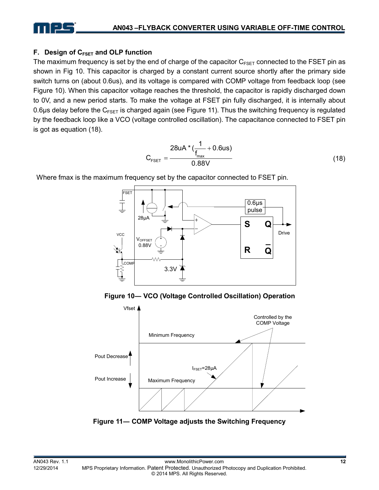

#### **F. Design of CFSET and OLP function**

The maximum frequency is set by the end of charge of the capacitor  $C_{FSET}$  connected to the FSET pin as shown in Fig 10. This capacitor is charged by a constant current source shortly after the primary side switch turns on (about 0.6us), and its voltage is compared with COMP voltage from feedback loop (see Figure 10). When this capacitor voltage reaches the threshold, the capacitor is rapidly discharged down to 0V, and a new period starts. To make the voltage at FSET pin fully discharged, it is internally about 0.6μs delay before the  $C_{FSET}$  is charged again (see Figure 11). Thus the switching frequency is regulated by the feedback loop like a VCO (voltage controlled oscillation). The capacitance connected to FSET pin is got as equation (18).

$$
C_{FSET} = \frac{28uA * (\frac{1}{f_{max}} + 0.6us)}{0.88V}
$$
 (18)

Where fmax is the maximum frequency set by the capacitor connected to FSET pin.



 **Figure 10― VCO (Voltage Controlled Oscillation) Operation** 



**Figure 11― COMP Voltage adjusts the Switching Frequency**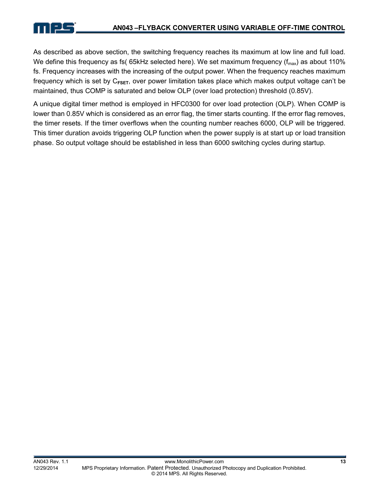As described as above section, the switching frequency reaches its maximum at low line and full load. We define this frequency as fs(  $65kHz$  selected here). We set maximum frequency ( $f_{max}$ ) as about 110% fs. Frequency increases with the increasing of the output power. When the frequency reaches maximum frequency which is set by C**FSET**, over power limitation takes place which makes output voltage can't be maintained, thus COMP is saturated and below OLP (over load protection) threshold (0.85V).

A unique digital timer method is employed in HFC0300 for over load protection (OLP). When COMP is lower than 0.85V which is considered as an error flag, the timer starts counting. If the error flag removes, the timer resets. If the timer overflows when the counting number reaches 6000, OLP will be triggered. This timer duration avoids triggering OLP function when the power supply is at start up or load transition phase. So output voltage should be established in less than 6000 switching cycles during startup.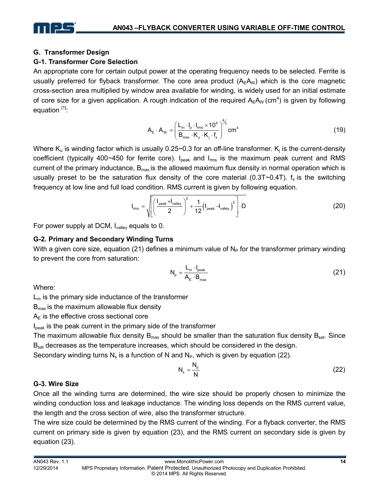

#### **G. Transformer Design**

#### **G-1. Transformer Core Selection**

An appropriate core for certain output power at the operating frequency needs to be selected. Ferrite is usually preferred for flyback transformer. The core area product  $(A<sub>F</sub>A<sub>W</sub>)$  which is the core magnetic cross-section area multiplied by window area available for winding, is widely used for an initial estimate of core size for a given application. A rough indication of the required  $A_EA_W$  (cm<sup>4</sup>) is given by following equation  $[1]$ :

$$
A_{E} \cdot A_{W} = \left(\frac{L_{m} \cdot I_{p} \cdot I_{rms} \times 10^{4}}{B_{max} \cdot K_{u} \cdot K_{j} \cdot f_{s}}\right)^{4/3} cm^{4}
$$
\n(19)

Where  $K_u$  is winding factor which is usually 0.25~0.3 for an off-line transformer.  $K_j$  is the current-density coefficient (typically 400~450 for ferrite core).  $I_{peak}$  and  $I_{rms}$  is the maximum peak current and RMS current of the primary inductance,  $B_{\text{max}}$  is the allowed maximum flux density in normal operation which is usually preset to be the saturation flux density of the core material (0.3T $\sim$ 0.4T). f<sub>s</sub> is the switching frequency at low line and full load condition. RMS current is given by following equation.

$$
I_{\text{rms}} = \sqrt{\left[\left(\frac{I_{\text{peak}} + I_{\text{valley}}}{2}\right)^2 + \frac{1}{12}\left(I_{\text{peak}} - I_{\text{valley}}\right)^2\right]} \cdot D
$$
 (20)

For power supply at DCM, I<sub>valley</sub> equals to 0.

#### **G-2. Primary and Secondary Winding Turns**

With a given core size, equation (21) defines a minimum value of  $N_P$  for the transformer primary winding to prevent the core from saturation:

$$
N_{p} = \frac{L_{m} \cdot I_{peak}}{A_{E} \cdot B_{max}}
$$
 (21)

Where:

 $L_m$  is the primary side inductance of the transformer

 $B_{\text{max}}$  is the maximum allowable flux density

 $A<sub>E</sub>$  is the effective cross sectional core

I<sub>peak</sub> is the peak current in the primary side of the transformer

The maximum allowable flux density  $B_{max}$  should be smaller than the saturation flux density  $B_{sat}$ . Since B<sub>sat</sub> decreases as the temperature increases, which should be considered in the design.

Secondary winding turns  $N_s$  is a function of N and  $N_p$ , which is given by equation (22).

$$
N_s = \frac{N_p}{N}
$$
 (22)

#### **G-3. Wire Size**

Once all the winding turns are determined, the wire size should be properly chosen to minimize the winding conduction loss and leakage inductance. The winding loss depends on the RMS current value, the length and the cross section of wire, also the transformer structure.

The wire size could be determined by the RMS current of the winding. For a flyback converter, the RMS current on primary side is given by equation (23), and the RMS current on secondary side is given by equation (23).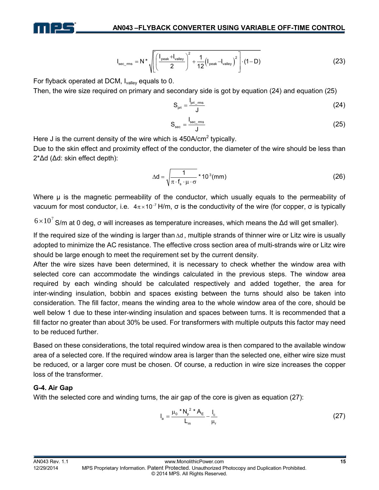

$$
I_{\text{sec\_rms}} = N \star \sqrt{\left[ \left( \frac{I_{\text{peak}} + I_{\text{valley}}}{2} \right)^2 + \frac{1}{12} \left( I_{\text{peak}} - I_{\text{valley}} \right)^2 \right] \cdot (1 - D)}
$$
(23)

For flyback operated at DCM, Ivalley equals to 0.

Then, the wire size required on primary and secondary side is got by equation (24) and equation (25)

$$
S_{\rm pri} = \frac{I_{\rm pri\_rms}}{J} \tag{24}
$$

$$
S_{\rm sec} = \frac{I_{\rm sec\_ms}}{J}
$$
 (25)

Here J is the current density of the wire which is  $450A/cm<sup>2</sup>$  typically.

Due to the skin effect and proximity effect of the conductor, the diameter of the wire should be less than 2\*Δd (Δd: skin effect depth):

$$
\Delta d = \sqrt{\frac{1}{\pi \cdot f_s \cdot \mu \cdot \sigma}} \cdot 10^3 \text{(mm)}
$$
 (26)

Where μ is the magnetic permeability of the conductor, which usually equals to the permeability of vacuum for most conductor, i.e.  $4\pi \times 10^{-7}$  H/m, σ is the conductivity of the wire (for copper, σ is typically

 $6\times10^7$  S/m at 0 deg, σ will increases as temperature increases, which means the Δd will get smaller).

If the required size of the winding is larger than Δd , multiple strands of thinner wire or Litz wire is usually adopted to minimize the AC resistance. The effective cross section area of multi-strands wire or Litz wire should be large enough to meet the requirement set by the current density.

After the wire sizes have been determined, it is necessary to check whether the window area with selected core can accommodate the windings calculated in the previous steps. The window area required by each winding should be calculated respectively and added together, the area for inter-winding insulation, bobbin and spaces existing between the turns should also be taken into consideration. The fill factor, means the winding area to the whole window area of the core, should be well below 1 due to these inter-winding insulation and spaces between turns. It is recommended that a fill factor no greater than about 30% be used. For transformers with multiple outputs this factor may need to be reduced further.

Based on these considerations, the total required window area is then compared to the available window area of a selected core. If the required window area is larger than the selected one, either wire size must be reduced, or a larger core must be chosen. Of course, a reduction in wire size increases the copper loss of the transformer.

#### **G-4. Air Gap**

With the selected core and winding turns, the air gap of the core is given as equation (27):

$$
I_{a} = \frac{\mu_{0} * N_{p}^{2} * A_{E}}{L_{m}} - \frac{I_{c}}{\mu_{r}}
$$
 (27)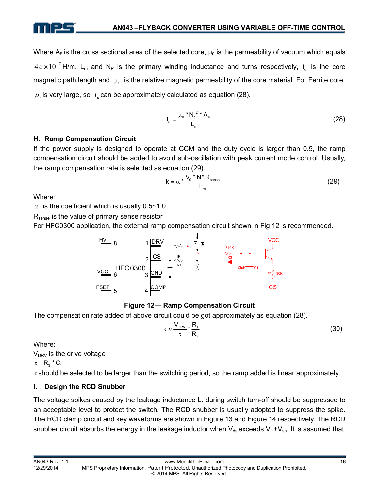Where  $A<sub>E</sub>$  is the cross sectional area of the selected core,  $\mu_0$  is the permeability of vacuum which equals  $4\pi\times10^{-7}$  H/m. L<sub>m</sub> and N<sub>P</sub> is the primary winding inductance and turns respectively, I<sub>c</sub> is the core magnetic path length and  $\mu_r$  is the relative magnetic permeability of the core material. For Ferrite core,  $\mu_r$  is very large, so  $l_a$  can be approximately calculated as equation (28).

$$
I_{a} = \frac{\mu_{0} * N_{p}^{2} * A_{e}}{L_{m}}
$$
 (28)

#### **H. Ramp Compensation Circuit**

If the power supply is designed to operate at CCM and the duty cycle is larger than 0.5, the ramp compensation circuit should be added to avoid sub-oscillation with peak current mode control. Usually, the ramp compensation rate is selected as equation (29)

$$
k = \alpha \cdot \frac{V_0 \cdot N \cdot R_{\text{sense}}}{L_m}
$$
 (29)

Where:

 $\alpha$  is the coefficient which is usually 0.5~1.0

R<sub>sense</sub> is the value of primary sense resistor

For HFC0300 application, the external ramp compensation circuit shown in Fig 12 is recommended.



#### **Figure 12― Ramp Compensation Circuit**

The compensation rate added of above circuit could be got approximately as equation (28).

$$
k \approx \frac{V_{DRV}}{\tau} * \frac{R_1}{R_2}
$$
 (30)

Where:

 $V_{DRV}$  is the drive voltage

 $\tau = R_3$  \*  $C_1$ 

τ should be selected to be larger than the switching period, so the ramp added is linear approximately.

#### **I. Design the RCD Snubber**

The voltage spikes caused by the leakage inductance  $L_k$  during switch turn-off should be suppressed to an acceptable level to protect the switch. The RCD snubber is usually adopted to suppress the spike. The RCD clamp circuit and key waveforms are shown in Figure 13 and Figure 14 respectively. The RCD snubber circuit absorbs the energy in the leakage inductor when  $V_{ds}$  exceeds  $V_{in}+V_{sn}$ . It is assumed that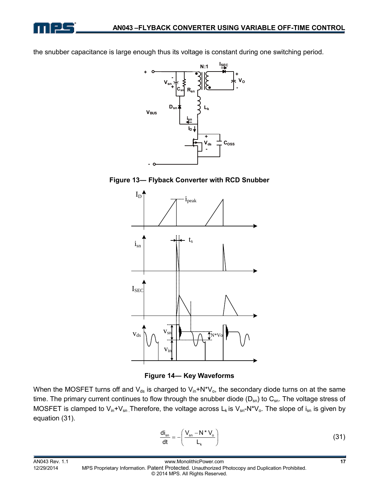

the snubber capacitance is large enough thus its voltage is constant during one switching period.







**Figure 14― Key Waveforms** 

When the MOSFET turns off and  $V_{ds}$  is charged to  $V_{in}+N*V_o$ , the secondary diode turns on at the same time. The primary current continues to flow through the snubber diode ( $D_{sn}$ ) to  $C_{sn}$ . The voltage stress of MOSFET is clamped to  $V_{in}+V_{sn}$  Therefore, the voltage across  $L_k$  is  $V_{sn}-N^*V_o$ . The slope of i<sub>sn</sub> is given by equation (31).

$$
\frac{di_{sn}}{dt} = -\left(\frac{V_{sn} - N^* V_o}{L_k}\right)
$$
 (31)

AN043 Rev. 1.1 www.MonolithicPower.com **17**

12/29/2014 MPS Proprietary Information. Patent Protected. Unauthorized Photocopy and Duplication Prohibited. © 2014 MPS. All Rights Reserved.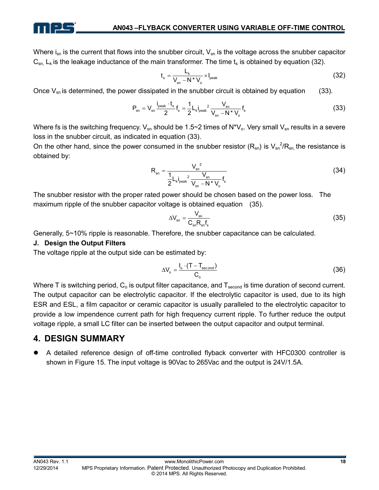

Where  $i_{sn}$  is the current that flows into the snubber circuit,  $V_{sn}$  is the voltage across the snubber capacitor  $C_{\rm sn.}$  L<sub>k</sub> is the leakage inductance of the main transformer. The time t<sub>s</sub> is obtained by equation (32).

$$
t_s = \frac{L_k}{V_{sn} - N^* V_o} \times I_{peak}
$$
 (32)

Once  $V_{\rm sn}$  is determined, the power dissipated in the snubber circuit is obtained by equation (33).

$$
P_{sn} = V_{sn} \frac{i_{peak} \cdot t_s}{2} f_s = \frac{1}{2} L_k i_{peak}^2 \frac{V_{sn}}{V_{sn} - N^* V_o} f_s
$$
 (33)

Where fs is the switching frequency.  $V_{sn}$  should be 1.5~2 times of N\*V<sub>o</sub>. Very small V<sub>sn</sub> results in a severe loss in the snubber circuit, as indicated in equation (33).

On the other hand, since the power consumed in the snubber resistor  $(R_{sn})$  is  $V_{sn}^2/R_{sn}$ , the resistance is obtained by:

$$
R_{sn} = \frac{V_{sn}^{2}}{\frac{1}{2}L_{k}I_{peak}^{2}\frac{V_{sn}}{V_{sn} - N^{*}V_{o}}f_{s}}
$$
(34)

The snubber resistor with the proper rated power should be chosen based on the power loss. The maximum ripple of the snubber capacitor voltage is obtained equation (35).

$$
\Delta V_{\rm sn} = \frac{V_{\rm sn}}{C_{\rm sn} R_{\rm sn} f_{\rm s}}\tag{35}
$$

Generally, 5~10% ripple is reasonable. Therefore, the snubber capacitance can be calculated.

#### **J. Design the Output Filters**

The voltage ripple at the output side can be estimated by:

$$
\Delta V_{o} = \frac{I_{o} \cdot (T - T_{second})}{C_{o}}
$$
\n(36)

Where T is switching period,  $C_0$  is output filter capacitance, and  $T_{second}$  is time duration of second current. The output capacitor can be electrolytic capacitor. If the electrolytic capacitor is used, due to its high ESR and ESL, a film capacitor or ceramic capacitor is usually paralleled to the electrolytic capacitor to provide a low impendence current path for high frequency current ripple. To further reduce the output voltage ripple, a small LC filter can be inserted between the output capacitor and output terminal.

## **4. DESIGN SUMMARY**

A detailed reference design of off-time controlled flyback converter with HFC0300 controller is shown in Figure 15. The input voltage is 90Vac to 265Vac and the output is 24V/1.5A.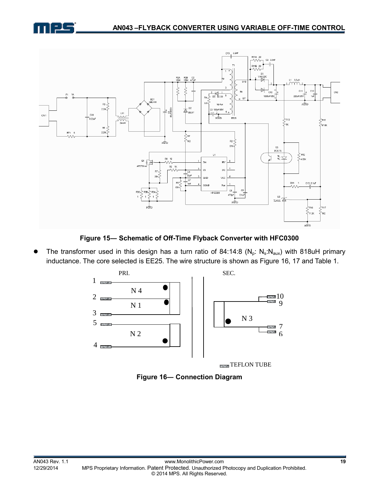



**Figure 15― Schematic of Off-Time Flyback Converter with HFC0300** 

The transformer used in this design has a turn ratio of 84:14:8 ( $N_p$ :  $N_s$ : $N_{aux}$ ) with 818uH primary inductance. The core selected is EE25. The wire structure is shown as Figure 16, 17 and Table 1.



**Figure 16― Connection Diagram**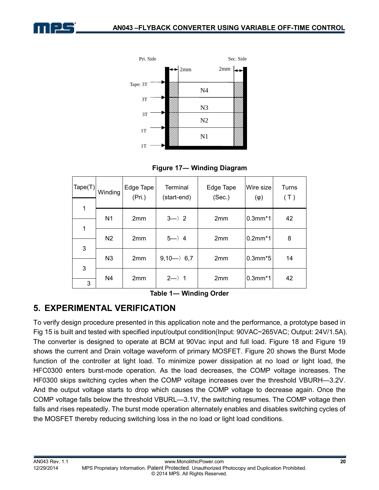



 **Figure 17― Winding Diagram**

| $\text{Tape(T)}$ | Winding        | Edge Tape<br>(Pri.) | <b>Terminal</b><br>(start-end) | Edge Tape<br>(Sec.) | Wire size<br>$(\varphi)$ | Turns<br>(T) |
|------------------|----------------|---------------------|--------------------------------|---------------------|--------------------------|--------------|
| 1                |                |                     |                                |                     |                          |              |
|                  | N <sub>1</sub> | 2 <sub>mm</sub>     | $3 \rightarrow 2$              | 2 <sub>mm</sub>     | $0.3$ mm $*1$            | 42           |
| 1                | N <sub>2</sub> | 2 <sub>mm</sub>     | $5 \rightarrow 4$              | 2 <sub>mm</sub>     | $0.2$ mm $*1$            | 8            |
| 3                | N <sub>3</sub> | 2 <sub>mm</sub>     | $9,10 \rightarrow 6,7$         | 2mm                 | $0.3$ mm $*5$            | 14           |
| 3<br>3           | N4             | 2 <sub>mm</sub>     | $2 \rightarrow 1$              | 2 <sub>mm</sub>     | $0.3$ mm $*1$            | 42           |

**Table 1― Winding Order** 

## **5. EXPERIMENTAL VERIFICATION**

To verify design procedure presented in this application note and the performance, a prototype based in Fig 15 is built and tested with specified input/output condition(Input: 90VAC~265VAC; Output: 24V/1.5A). The converter is designed to operate at BCM at 90Vac input and full load. Figure 18 and Figure 19 shows the current and Drain voltage waveform of primary MOSFET. Figure 20 shows the Burst Mode function of the controller at light load. To minimize power dissipation at no load or light load, the HFC0300 enters burst-mode operation. As the load decreases, the COMP voltage increases. The HF0300 skips switching cycles when the COMP voltage increases over the threshold VBURH—3.2V. And the output voltage starts to drop which causes the COMP voltage to decrease again. Once the COMP voltage falls below the threshold VBURL—3.1V, the switching resumes. The COMP voltage then falls and rises repeatedly. The burst mode operation alternately enables and disables switching cycles of the MOSFET thereby reducing switching loss in the no load or light load conditions.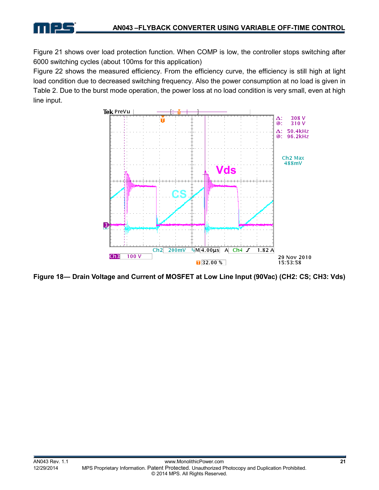Figure 21 shows over load protection function. When COMP is low, the controller stops switching after 6000 switching cycles (about 100ms for this application)

Figure 22 shows the measured efficiency. From the efficiency curve, the efficiency is still high at light load condition due to decreased switching frequency. Also the power consumption at no load is given in Table 2. Due to the burst mode operation, the power loss at no load condition is very small, even at high line input.



**Figure 18― Drain Voltage and Current of MOSFET at Low Line Input (90Vac) (CH2: CS; CH3: Vds)**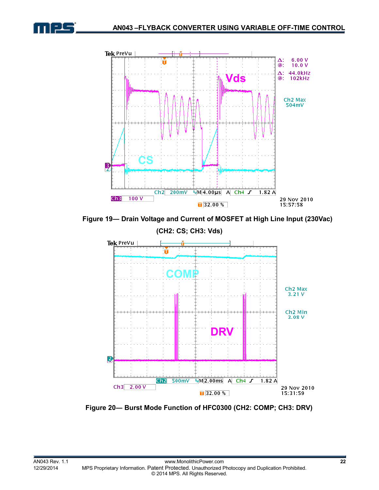



 **Figure 19― Drain Voltage and Current of MOSFET at High Line Input (230Vac)** 



 **Figure 20― Burst Mode Function of HFC0300 (CH2: COMP; CH3: DRV)**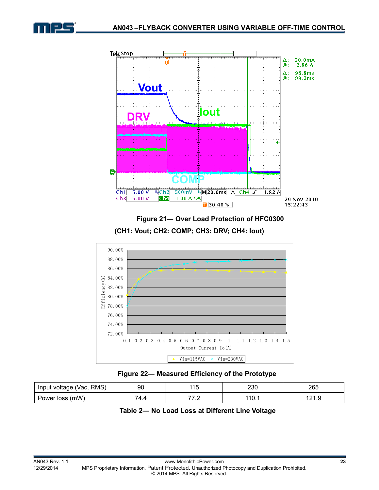



 **Figure 21― Over Load Protection of HFC0300** 

**(CH1: Vout; CH2: COMP; CH3: DRV; CH4: Iout)** 



 **Figure 22― Measured Efficiency of the Prototype** 

| RMS)<br>Input voltage (Vac, | 90         | 44 F<br>טוו | חממ<br>∠ວບ | 265             |
|-----------------------------|------------|-------------|------------|-----------------|
| loss (mW)<br>Power          | ¬ ⊿<br>۰., | . .         | 110.       | 101<br>ن. الك ا |

## **Table 2― No Load Loss at Different Line Voltage**